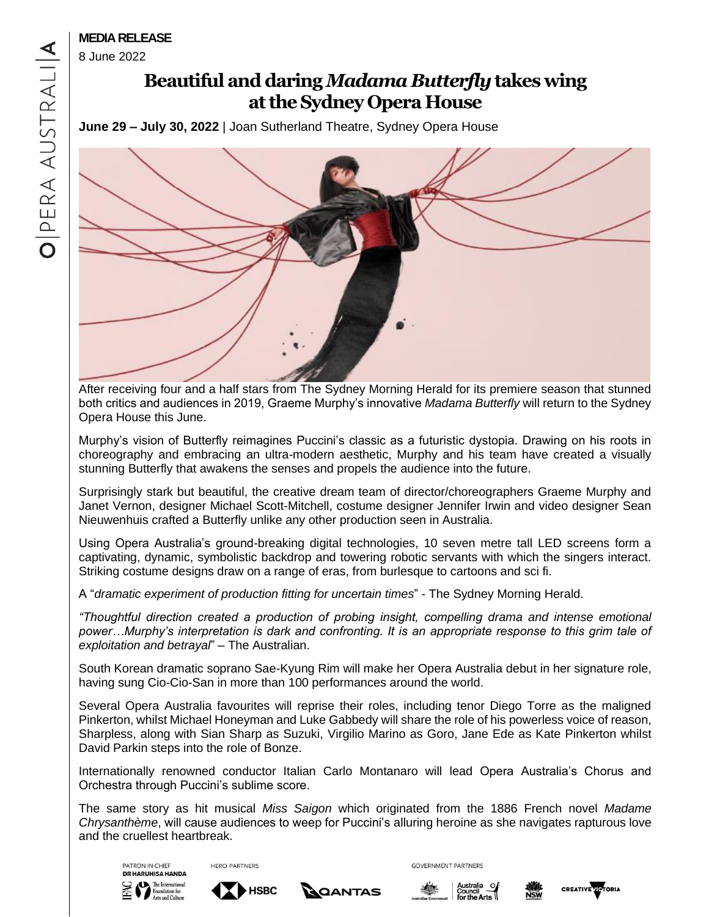8 June 2022

# **Beautiful and daring***Madama Butterfly***takes wing atthe Sydney Opera House**

**June 29 – July 30, 2022** | Joan Sutherland Theatre, Sydney Opera House



After receiving four and a half stars from The Sydney Morning Herald for its premiere season that stunned both critics and audiences in 2019, Graeme Murphy's innovative *Madama Butterfly* will return to the Sydney Opera House this June.

Murphy's vision of Butterfly reimagines Puccini's classic as a futuristic dystopia. Drawing on his roots in choreography and embracing an ultra-modern aesthetic, Murphy and his team have created a visually stunning Butterfly that awakens the senses and propels the audience into the future.

Surprisingly stark but beautiful, the creative dream team of director/choreographers Graeme Murphy and Janet Vernon, designer Michael Scott-Mitchell, costume designer Jennifer Irwin and video designer Sean Nieuwenhuis crafted a Butterfly unlike any other production seen in Australia.

Using Opera Australia's ground-breaking digital technologies, 10 seven metre tall LED screens form a captivating, dynamic, symbolistic backdrop and towering robotic servants with which the singers interact. Striking costume designs draw on a range of eras, from burlesque to cartoons and sci fi.

A "*dramatic experiment of production fitting for uncertain times*" - The Sydney Morning Herald.

*"Thoughtful direction created a production of probing insight, compelling drama and intense emotional power…Murphy's interpretation is dark and confronting. It is an appropriate response to this grim tale of exploitation and betrayal*" – The Australian.

South Korean dramatic soprano Sae-Kyung Rim will make her Opera Australia debut in her signature role, having sung Cio-Cio-San in more than 100 performances around the world.

Several Opera Australia favourites will reprise their roles, including tenor Diego Torre as the maligned Pinkerton, whilst Michael Honeyman and Luke Gabbedy will share the role of his powerless voice of reason, Sharpless, along with Sian Sharp as Suzuki, Virgilio Marino as Goro, Jane Ede as Kate Pinkerton whilst David Parkin steps into the role of Bonze.

Internationally renowned conductor Italian Carlo Montanaro will lead Opera Australia's Chorus and Orchestra through Puccini's sublime score.

The same story as hit musical *Miss Saigon* which originated from the 1886 French novel *Madame Chrysanthème*, will cause audiences to weep for Puccini's alluring heroine as she navigates rapturous love and the cruellest heartbreak.





**HERO PARTNERS** 







**GOVERNMENT PARTNERS**